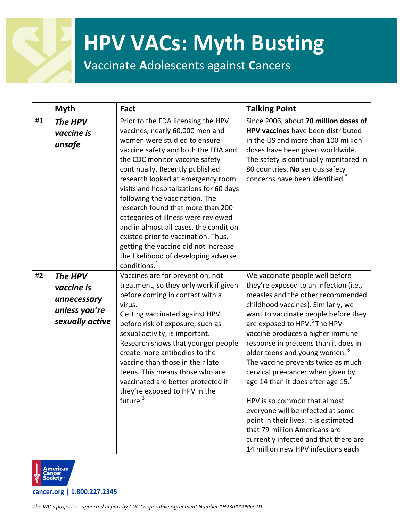**V**accinate **A**dolescents against **C**ancers

|    | <b>Myth</b>                                                              | Fact                                                                                                                                                                                                                                                                                                                                                                                                                                                                                                                                                                                                         | <b>Talking Point</b>                                                                                                                                                                                                                                                                                                                                                                                                                                                                                                                                                                                                                                                                                            |
|----|--------------------------------------------------------------------------|--------------------------------------------------------------------------------------------------------------------------------------------------------------------------------------------------------------------------------------------------------------------------------------------------------------------------------------------------------------------------------------------------------------------------------------------------------------------------------------------------------------------------------------------------------------------------------------------------------------|-----------------------------------------------------------------------------------------------------------------------------------------------------------------------------------------------------------------------------------------------------------------------------------------------------------------------------------------------------------------------------------------------------------------------------------------------------------------------------------------------------------------------------------------------------------------------------------------------------------------------------------------------------------------------------------------------------------------|
| #1 | The HPV<br>vaccine is<br>unsafe                                          | Prior to the FDA licensing the HPV<br>vaccines, nearly 60,000 men and<br>women were studied to ensure<br>vaccine safety and both the FDA and<br>the CDC monitor vaccine safety<br>continually. Recently published<br>research looked at emergency room<br>visits and hospitalizations for 60 days<br>following the vaccination. The<br>research found that more than 200<br>categories of illness were reviewed<br>and in almost all cases, the condition<br>existed prior to vaccination. Thus,<br>getting the vaccine did not increase<br>the likelihood of developing adverse<br>conditions. <sup>1</sup> | Since 2006, about 70 million doses of<br>HPV vaccines have been distributed<br>in the US and more than 100 million<br>doses have been given worldwide.<br>The safety is continually monitored in<br>80 countries. No serious safety<br>concerns have been identified. <sup>5</sup>                                                                                                                                                                                                                                                                                                                                                                                                                              |
| #2 | The HPV<br>vaccine is<br>unnecessary<br>unless you're<br>sexually active | Vaccines are for prevention, not<br>treatment, so they only work if given<br>before coming in contact with a<br>virus.<br>Getting vaccinated against HPV<br>before risk of exposure, such as<br>sexual activity, is important.<br>Research shows that younger people<br>create more antibodies to the<br>vaccine than those in their late<br>teens. This means those who are<br>vaccinated are better protected if<br>they're exposed to HPV in the<br>future. <sup>3</sup>                                                                                                                                  | We vaccinate people well before<br>they're exposed to an infection (i.e.,<br>measles and the other recommended<br>childhood vaccines). Similarly, we<br>want to vaccinate people before they<br>are exposed to HPV. <sup>5</sup> The HPV<br>vaccine produces a higher immune<br>response in preteens than it does in<br>older teens and young women. <sup>b</sup><br>The vaccine prevents twice as much<br>cervical pre-cancer when given by<br>age 14 than it does after age 15.<br>HPV is so common that almost<br>everyone will be infected at some<br>point in their lives. It is estimated<br>that 79 million Americans are<br>currently infected and that there are<br>14 million new HPV infections each |

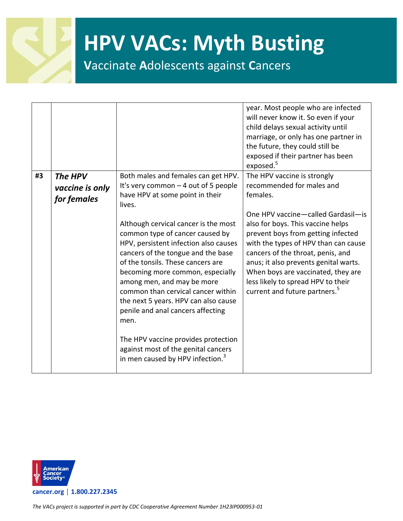

**V**accinate **A**dolescents against **C**ancers

|    |                                           |                                                                                                                                                                                                                                                                                                                                                                                                                                                                                                                                                                                                                                                     | year. Most people who are infected<br>will never know it. So even if your<br>child delays sexual activity until<br>marriage, or only has one partner in<br>the future, they could still be<br>exposed if their partner has been                                                                                                                                                                                                                               |
|----|-------------------------------------------|-----------------------------------------------------------------------------------------------------------------------------------------------------------------------------------------------------------------------------------------------------------------------------------------------------------------------------------------------------------------------------------------------------------------------------------------------------------------------------------------------------------------------------------------------------------------------------------------------------------------------------------------------------|---------------------------------------------------------------------------------------------------------------------------------------------------------------------------------------------------------------------------------------------------------------------------------------------------------------------------------------------------------------------------------------------------------------------------------------------------------------|
| #3 | The HPV<br>vaccine is only<br>for females | Both males and females can get HPV.<br>It's very common $-4$ out of 5 people<br>have HPV at some point in their<br>lives.<br>Although cervical cancer is the most<br>common type of cancer caused by<br>HPV, persistent infection also causes<br>cancers of the tongue and the base<br>of the tonsils. These cancers are<br>becoming more common, especially<br>among men, and may be more<br>common than cervical cancer within<br>the next 5 years. HPV can also cause<br>penile and anal cancers affecting<br>men.<br>The HPV vaccine provides protection<br>against most of the genital cancers<br>in men caused by HPV infection. <sup>3</sup> | exposed. <sup>5</sup><br>The HPV vaccine is strongly<br>recommended for males and<br>females.<br>One HPV vaccine-called Gardasil-is<br>also for boys. This vaccine helps<br>prevent boys from getting infected<br>with the types of HPV than can cause<br>cancers of the throat, penis, and<br>anus; it also prevents genital warts.<br>When boys are vaccinated, they are<br>less likely to spread HPV to their<br>current and future partners. <sup>5</sup> |
|    |                                           |                                                                                                                                                                                                                                                                                                                                                                                                                                                                                                                                                                                                                                                     |                                                                                                                                                                                                                                                                                                                                                                                                                                                               |

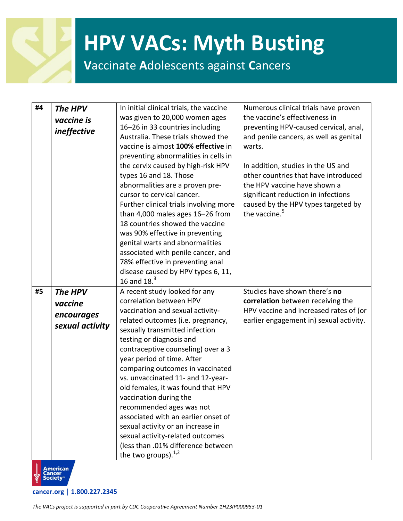#### **V**accinate **A**dolescents against **C**ancers

| #4 | The HPV<br>vaccine is<br><i>ineffective</i>         | In initial clinical trials, the vaccine<br>was given to 20,000 women ages<br>16-26 in 33 countries including<br>Australia. These trials showed the<br>vaccine is almost 100% effective in<br>preventing abnormalities in cells in<br>the cervix caused by high-risk HPV<br>types 16 and 18. Those<br>abnormalities are a proven pre-<br>cursor to cervical cancer.<br>Further clinical trials involving more<br>than 4,000 males ages 16-26 from<br>18 countries showed the vaccine<br>was 90% effective in preventing<br>genital warts and abnormalities<br>associated with penile cancer, and<br>78% effective in preventing anal<br>disease caused by HPV types 6, 11,<br>16 and $18.3$ | Numerous clinical trials have proven<br>the vaccine's effectiveness in<br>preventing HPV-caused cervical, anal,<br>and penile cancers, as well as genital<br>warts.<br>In addition, studies in the US and<br>other countries that have introduced<br>the HPV vaccine have shown a<br>significant reduction in infections<br>caused by the HPV types targeted by<br>the vaccine. <sup>5</sup> |
|----|-----------------------------------------------------|--------------------------------------------------------------------------------------------------------------------------------------------------------------------------------------------------------------------------------------------------------------------------------------------------------------------------------------------------------------------------------------------------------------------------------------------------------------------------------------------------------------------------------------------------------------------------------------------------------------------------------------------------------------------------------------------|----------------------------------------------------------------------------------------------------------------------------------------------------------------------------------------------------------------------------------------------------------------------------------------------------------------------------------------------------------------------------------------------|
| #5 | The HPV<br>vaccine<br>encourages<br>sexual activity | A recent study looked for any<br>correlation between HPV<br>vaccination and sexual activity-<br>related outcomes (i.e. pregnancy,<br>sexually transmitted infection<br>testing or diagnosis and<br>contraceptive counseling) over a 3<br>year period of time. After<br>comparing outcomes in vaccinated<br>vs. unvaccinated 11- and 12-year-<br>old females, it was found that HPV<br>vaccination during the<br>recommended ages was not<br>associated with an earlier onset of<br>sexual activity or an increase in<br>sexual activity-related outcomes<br>(less than .01% difference between<br>the two groups). $^{1,2}$                                                                | Studies have shown there's no<br>correlation between receiving the<br>HPV vaccine and increased rates of (or<br>earlier engagement in) sexual activity.                                                                                                                                                                                                                                      |

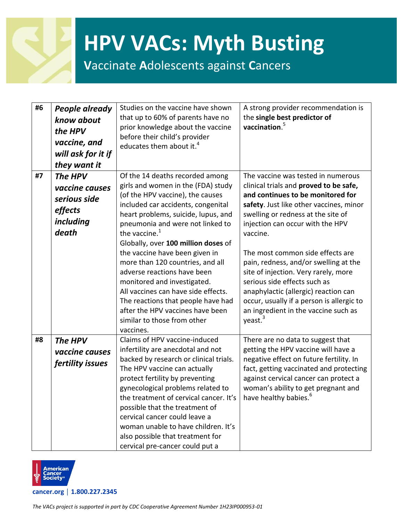#### **V**accinate **A**dolescents against **C**ancers

| #6 | <b>People already</b><br>know about<br>the HPV<br>vaccine, and<br>will ask for it if<br>they want it | Studies on the vaccine have shown<br>that up to 60% of parents have no<br>prior knowledge about the vaccine<br>before their child's provider<br>educates them about it. <sup>4</sup>                                                                                                                                                                                                                                                                                                                                                                                                            | A strong provider recommendation is<br>the single best predictor of<br>vaccination. $5$                                                                                                                                                                                                                                                                                                                                                                                                                                                                     |
|----|------------------------------------------------------------------------------------------------------|-------------------------------------------------------------------------------------------------------------------------------------------------------------------------------------------------------------------------------------------------------------------------------------------------------------------------------------------------------------------------------------------------------------------------------------------------------------------------------------------------------------------------------------------------------------------------------------------------|-------------------------------------------------------------------------------------------------------------------------------------------------------------------------------------------------------------------------------------------------------------------------------------------------------------------------------------------------------------------------------------------------------------------------------------------------------------------------------------------------------------------------------------------------------------|
| #7 | The HPV<br>vaccine causes<br>serious side<br>effects<br>including<br>death                           | Of the 14 deaths recorded among<br>girls and women in the (FDA) study<br>(of the HPV vaccine), the causes<br>included car accidents, congenital<br>heart problems, suicide, lupus, and<br>pneumonia and were not linked to<br>the vaccine. <sup>1</sup><br>Globally, over 100 million doses of<br>the vaccine have been given in<br>more than 120 countries, and all<br>adverse reactions have been<br>monitored and investigated.<br>All vaccines can have side effects.<br>The reactions that people have had<br>after the HPV vaccines have been<br>similar to those from other<br>vaccines. | The vaccine was tested in numerous<br>clinical trials and proved to be safe,<br>and continues to be monitored for<br>safety. Just like other vaccines, minor<br>swelling or redness at the site of<br>injection can occur with the HPV<br>vaccine.<br>The most common side effects are<br>pain, redness, and/or swelling at the<br>site of injection. Very rarely, more<br>serious side effects such as<br>anaphylactic (allergic) reaction can<br>occur, usually if a person is allergic to<br>an ingredient in the vaccine such as<br>yeast. <sup>3</sup> |
| #8 | The HPV<br>vaccine causes<br>fertility issues                                                        | Claims of HPV vaccine-induced<br>infertility are anecdotal and not<br>backed by research or clinical trials.<br>The HPV vaccine can actually<br>protect fertility by preventing<br>gynecological problems related to<br>the treatment of cervical cancer. It's<br>possible that the treatment of<br>cervical cancer could leave a<br>woman unable to have children. It's<br>also possible that treatment for<br>cervical pre-cancer could put a                                                                                                                                                 | There are no data to suggest that<br>getting the HPV vaccine will have a<br>negative effect on future fertility. In<br>fact, getting vaccinated and protecting<br>against cervical cancer can protect a<br>woman's ability to get pregnant and<br>have healthy babies. <sup>6</sup>                                                                                                                                                                                                                                                                         |

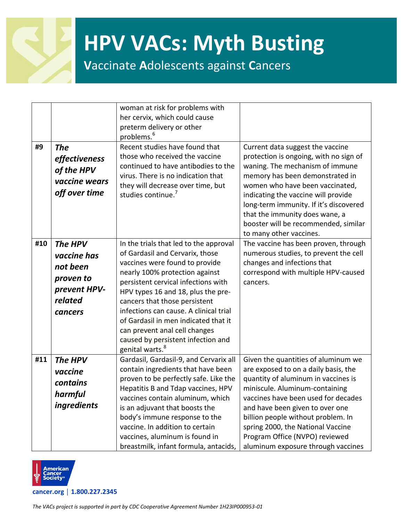

**V**accinate **A**dolescents against **C**ancers

|     |                    | woman at risk for problems with                                     |                                        |
|-----|--------------------|---------------------------------------------------------------------|----------------------------------------|
|     |                    | her cervix, which could cause                                       |                                        |
|     |                    | preterm delivery or other<br>problems. <sup>6</sup>                 |                                        |
| #9  |                    | Recent studies have found that                                      | Current data suggest the vaccine       |
|     | <b>The</b>         | those who received the vaccine                                      | protection is ongoing, with no sign of |
|     | effectiveness      | continued to have antibodies to the                                 | waning. The mechanism of immune        |
|     | of the HPV         | virus. There is no indication that                                  | memory has been demonstrated in        |
|     | vaccine wears      | they will decrease over time, but                                   | women who have been vaccinated,        |
|     | off over time      | studies continue. <sup>7</sup>                                      | indicating the vaccine will provide    |
|     |                    |                                                                     | long-term immunity. If it's discovered |
|     |                    |                                                                     | that the immunity does wane, a         |
|     |                    |                                                                     | booster will be recommended, similar   |
|     |                    |                                                                     | to many other vaccines.                |
| #10 | The HPV            | In the trials that led to the approval                              | The vaccine has been proven, through   |
|     | vaccine has        | of Gardasil and Cervarix, those                                     | numerous studies, to prevent the cell  |
|     | not been           | vaccines were found to provide                                      | changes and infections that            |
|     | proven to          | nearly 100% protection against                                      | correspond with multiple HPV-caused    |
|     | prevent HPV-       | persistent cervical infections with                                 | cancers.                               |
|     | related            | HPV types 16 and 18, plus the pre-<br>cancers that those persistent |                                        |
|     |                    | infections can cause. A clinical trial                              |                                        |
|     | cancers            | of Gardasil in men indicated that it                                |                                        |
|     |                    | can prevent anal cell changes                                       |                                        |
|     |                    | caused by persistent infection and                                  |                                        |
|     |                    | genital warts. <sup>8</sup>                                         |                                        |
| #11 | The HPV            | Gardasil, Gardasil-9, and Cervarix all                              | Given the quantities of aluminum we    |
|     | vaccine            | contain ingredients that have been                                  | are exposed to on a daily basis, the   |
|     | contains           | proven to be perfectly safe. Like the                               | quantity of aluminum in vaccines is    |
|     | harmful            | Hepatitis B and Tdap vaccines, HPV                                  | miniscule. Aluminum-containing         |
|     |                    | vaccines contain aluminum, which                                    | vaccines have been used for decades    |
|     | <i>ingredients</i> | is an adjuvant that boosts the                                      | and have been given to over one        |
|     |                    | body's immune response to the                                       | billion people without problem. In     |
|     |                    | vaccine. In addition to certain                                     | spring 2000, the National Vaccine      |
|     |                    | vaccines, aluminum is found in                                      | Program Office (NVPO) reviewed         |
|     |                    | breastmilk, infant formula, antacids,                               | aluminum exposure through vaccines     |

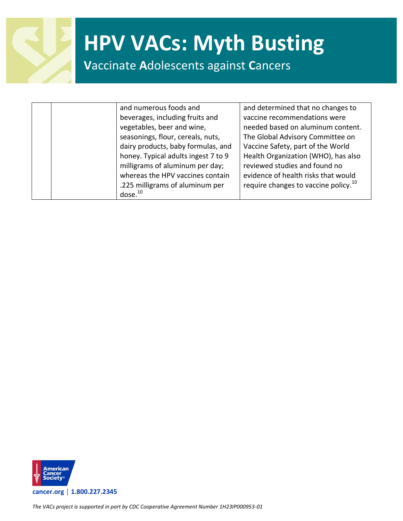

**V**accinate **A**dolescents against **C**ancers

|  | and numerous foods and              | and determined that no changes to                |
|--|-------------------------------------|--------------------------------------------------|
|  | beverages, including fruits and     | vaccine recommendations were                     |
|  | vegetables, beer and wine,          | needed based on aluminum content.                |
|  | seasonings, flour, cereals, nuts,   | The Global Advisory Committee on                 |
|  | dairy products, baby formulas, and  | Vaccine Safety, part of the World                |
|  | honey. Typical adults ingest 7 to 9 | Health Organization (WHO), has also              |
|  | milligrams of aluminum per day;     | reviewed studies and found no                    |
|  | whereas the HPV vaccines contain    | evidence of health risks that would              |
|  | .225 milligrams of aluminum per     | require changes to vaccine policy. <sup>10</sup> |
|  | dose. <sup>10</sup>                 |                                                  |